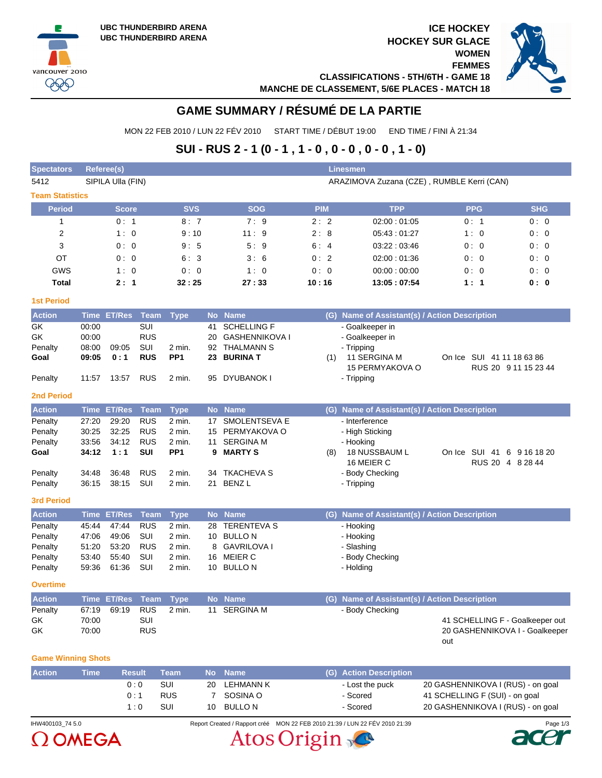vancouver 2010 999





# **GAME SUMMARY / RÉSUMÉ DE LA PARTIE**

MON 22 FEB 2010 / LUN 22 FÉV 2010 START TIME / DÉBUT 19:00 END TIME / FINI À 21:34

# **SUI - RUS 2 - 1 (0 - 1 , 1 - 0 , 0 - 0 , 0 - 0 , 1 - 0)**

| <b>Spectators</b>         |             | <b>Referee(s)</b>     |                   |                           |           |                              |            | <b>Linesmen</b>                               |                                                |            |
|---------------------------|-------------|-----------------------|-------------------|---------------------------|-----------|------------------------------|------------|-----------------------------------------------|------------------------------------------------|------------|
| 5412                      |             | SIPILA Ulla (FIN)     |                   |                           |           |                              |            |                                               | ARAZIMOVA Zuzana (CZE), RUMBLE Kerri (CAN)     |            |
| <b>Team Statistics</b>    |             |                       |                   |                           |           |                              |            |                                               |                                                |            |
| <b>Period</b>             |             | <b>Score</b>          |                   | <b>SVS</b>                |           | <b>SOG</b>                   | <b>PIM</b> | <b>TPP</b>                                    | <b>PPG</b>                                     | <b>SHG</b> |
| 1                         |             | 0:1                   |                   | 8:7                       |           | 7:9                          | 2:2        | 02:00:01:05                                   | 0:1                                            | 0:0        |
| 2                         |             | 1:0                   |                   | 9:10                      |           | 11:9                         | 2:8        | 05:43:01:27                                   | 1:0                                            | 0:0        |
| 3                         |             | 0:0                   |                   | 9:5                       |           | 5:9                          | 6:4        | 03:22:03:46                                   | 0:0                                            | 0:0        |
| OT                        |             | 0:0                   |                   | 6: 3                      |           | 3:6                          | 0:2        | 02:00:01:36                                   | 0:0                                            | 0:0        |
| GWS                       |             | 1:0                   |                   | 0:0                       |           | 1:0                          | 0:0        | 00:00:00:00                                   | 0:0                                            | 0:0        |
| Total                     |             | 2:1                   |                   | 32:25                     |           | 27:33                        | 10:16      | 13:05:07:54                                   | 1:1                                            | 0: 0       |
|                           |             |                       |                   |                           |           |                              |            |                                               |                                                |            |
| <b>1st Period</b>         |             |                       |                   |                           |           |                              |            |                                               |                                                |            |
| <b>Action</b>             |             | <b>Time ET/Res</b>    | <b>Team</b>       | <b>Type</b>               |           | No Name                      |            | (G) Name of Assistant(s) / Action Description |                                                |            |
| GK                        | 00:00       |                       | <b>SUI</b>        |                           | 41        | <b>SCHELLING F</b>           |            | - Goalkeeper in                               |                                                |            |
| GK                        | 00:00       |                       | <b>RUS</b>        |                           | 20        | <b>GASHENNIKOVA I</b>        |            | - Goalkeeper in                               |                                                |            |
| Penalty                   | 08:00       | 09:05                 | SUI<br><b>RUS</b> | 2 min.<br>PP <sub>1</sub> | 92        | THALMANN S<br><b>BURINAT</b> |            | - Tripping<br>11 SERGINA M                    | On Ice SUI 41 11 18 63 86                      |            |
| Goal                      | 09:05       | 0:1                   |                   |                           | 23        |                              | (1)        | 15 PERMYAKOVA O                               | RUS 20 9 11 15 23 44                           |            |
| Penalty                   | 11:57       | 13:57                 | <b>RUS</b>        | 2 min.                    | 95        | DYUBANOK I                   |            | - Tripping                                    |                                                |            |
|                           |             |                       |                   |                           |           |                              |            |                                               |                                                |            |
| <b>2nd Period</b>         |             |                       |                   |                           |           |                              |            |                                               |                                                |            |
| <b>Action</b>             |             | <b>Time ET/Res</b>    | <b>Team</b>       | <b>Type</b>               |           | No Name                      |            | (G) Name of Assistant(s) / Action Description |                                                |            |
| Penalty                   | 27:20       | 29:20                 | <b>RUS</b>        | 2 min.                    | 17        | <b>SMOLENTSEVA E</b>         |            | - Interference                                |                                                |            |
| Penalty                   | 30:25       | 32:25                 | <b>RUS</b>        | 2 min.                    | 15        | PERMYAKOVA O                 |            | - High Sticking                               |                                                |            |
| Penalty                   | 33:56       | 34:12                 | <b>RUS</b>        | 2 min.                    | 11        | <b>SERGINA M</b>             |            | - Hooking                                     |                                                |            |
| Goal                      | 34:12       | 1:1                   | <b>SUI</b>        | PP <sub>1</sub>           | 9         | <b>MARTY S</b>               | (8)        | 18 NUSSBAUM L<br>16 MEIER C                   | On Ice SUI 41 6 9 16 18 20<br>RUS 20 4 8 28 44 |            |
| Penalty                   | 34:48       | 36:48                 | <b>RUS</b>        | 2 min.                    | 34        | <b>TKACHEVA S</b>            |            | - Body Checking                               |                                                |            |
| Penalty                   | 36:15       | 38:15                 | SUI               | 2 min.                    | 21        | <b>BENZL</b>                 |            | - Tripping                                    |                                                |            |
| <b>3rd Period</b>         |             |                       |                   |                           |           |                              |            |                                               |                                                |            |
| <b>Action</b>             | <b>Time</b> | <b>ET/Res</b>         | <b>Team</b>       | <b>Type</b>               | <b>No</b> | <b>Name</b>                  |            | (G) Name of Assistant(s) / Action Description |                                                |            |
| Penalty                   | 45:44       | 47:44                 | <b>RUS</b>        | 2 min.                    | 28        | <b>TERENTEVA S</b>           |            | - Hooking                                     |                                                |            |
| Penalty                   | 47:06       | 49:06                 | SUI               | 2 min.                    | 10        | <b>BULLON</b>                |            | - Hooking                                     |                                                |            |
| Penalty                   | 51:20       | 53:20                 | <b>RUS</b>        | 2 min.                    | 8         | <b>GAVRILOVA I</b>           |            | - Slashing                                    |                                                |            |
| Penalty                   | 53:40       | 55:40                 | SUI               | 2 min.                    | 16        | <b>MEIER C</b>               |            | - Body Checking                               |                                                |            |
| Penalty                   | 59:36       | 61:36                 | SUI               | 2 min.                    |           | 10 BULLON                    |            | - Holding                                     |                                                |            |
| <b>Overtime</b>           |             |                       |                   |                           |           |                              |            |                                               |                                                |            |
| Action                    |             | Time ET/Res Team Type |                   |                           |           | No Name                      |            | (G) Name of Assistant(s) / Action Description |                                                |            |
| Penalty                   | 67:19       | 69:19                 | <b>RUS</b>        | 2 min.                    |           | 11 SERGINA M                 |            | - Body Checking                               |                                                |            |
| GK                        | 70:00       |                       | SUI               |                           |           |                              |            |                                               | 41 SCHELLING F - Goalkeeper out                |            |
| GK                        | 70:00       |                       | <b>RUS</b>        |                           |           |                              |            |                                               | 20 GASHENNIKOVA I - Goalkeeper                 |            |
|                           |             |                       |                   |                           |           |                              |            |                                               | out                                            |            |
| <b>Game Winning Shots</b> |             |                       |                   |                           |           |                              |            |                                               |                                                |            |
| <b>Action</b>             | <b>Time</b> | <b>Result</b>         |                   | <b>Team</b>               | <b>No</b> | <b>Name</b>                  |            | (G) Action Description                        |                                                |            |
|                           |             |                       | 0:0               | SUI                       | 20        | <b>LEHMANN K</b>             |            | - Lost the puck                               | 20 GASHENNIKOVA I (RUS) - on goal              |            |



IHW400103\_74 5.0 Report Created / Rapport créé MON 22 FEB 2010 21:39 / LUN 22 FÉV 2010 21:39 Page 1/3

0 : 1 RUS 7 SOSINA O - Scored 41 SCHELLING F (SUI) - on goal 1 : 0 SUI 10 BULLO N - Scored 20 GASHENNIKOVA I (RUS) - on goal



Atos Origin <sub>y</sub>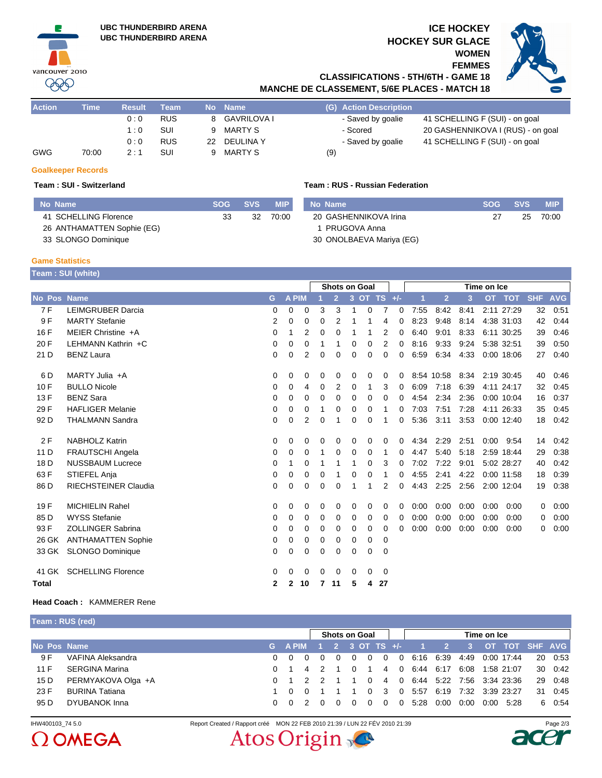

## **ICE HOCKEY HOCKEY SUR GLACE WOMEN**

**FEMMES**



**CLASSIFICATIONS - 5TH/6TH - GAME 18 MANCHE DE CLASSEMENT, 5/6E PLACES - MATCH 18**

| <b>Action</b> | Time  | <b>Result</b> | Team       |    | No Name       | (G) Action Description |                                   |
|---------------|-------|---------------|------------|----|---------------|------------------------|-----------------------------------|
|               |       | 0:0           | <b>RUS</b> |    | 8 GAVRILOVA I | - Saved by goalie      | 41 SCHELLING F (SUI) - on goal    |
|               |       | 1:0           | <b>SUI</b> | 9. | MARTY S       | - Scored               | 20 GASHENNIKOVA I (RUS) - on goal |
|               |       | 0:0           | <b>RUS</b> |    | 22 DEULINA Y  | - Saved by goalie      | 41 SCHELLING F (SUI) - on goal    |
| <b>GWG</b>    | 70:00 | 2 : 1         | <b>SUI</b> |    | MARTY S       | (9)                    |                                   |

### **Goalkeeper Records**

## **Team : SUI - Switzerland Team : RUS - Russian Federation**

| No Name                    | <b>SOG</b> | SVS. | <b>MIP</b> | No Name                  | <b>SOG</b> | <b>SVS</b> | <b>MIP</b> |
|----------------------------|------------|------|------------|--------------------------|------------|------------|------------|
| 41 SCHELLING Florence      | 33         | 32   | 70:00      | 20 GASHENNIKOVA Irina    |            | 25         | 70:00      |
| 26 ANTHAMATTEN Sophie (EG) |            |      |            | PRUGOVA Anna             |            |            |            |
| 33 SLONGO Dominique        |            |      |            | 30 ONOLBAEVA Mariya (EG) |            |            |            |

### **Game Statistics**

|                 | Team: SUI (white)           |   |              |    |          |                      |              |          |                |             |      |                |      |           |               |            |            |
|-----------------|-----------------------------|---|--------------|----|----------|----------------------|--------------|----------|----------------|-------------|------|----------------|------|-----------|---------------|------------|------------|
|                 |                             |   |              |    |          | <b>Shots on Goal</b> |              |          |                |             |      | Time on Ice    |      |           |               |            |            |
| No Pos          | <b>Name</b>                 | G | <b>A PIM</b> |    |          | $\overline{2}$       | $\mathbf{3}$ |          | OT TS $H$ -    |             |      | $\overline{2}$ | 3    | <b>OT</b> | <b>TOT</b>    | <b>SHF</b> | <b>AVG</b> |
| 7 F             | <b>LEIMGRUBER Darcia</b>    | 0 | 0            | 0  | 3        | 3                    |              | $\Omega$ | 7              | 0           | 7:55 | 8:42           | 8:41 |           | 2:11 27:29    | 32         | 0:51       |
| 9F              | <b>MARTY Stefanie</b>       | 2 | 0            | 0  | 0        | 2                    |              |          | 4              | 0           | 8:23 | 9:48           | 8:14 |           | 4:38 31:03    | 42         | 0:44       |
| 16 F            | MEIER Christine +A          | 0 | 1            | 2  | 0        | $\Omega$             | 1            | 1        | 2              | 0           | 6:40 | 9:01           | 8:33 |           | 6:11 30:25    | 39         | 0:46       |
| 20 F            | LEHMANN Kathrin +C          | 0 | $\Omega$     | 0  | 1        |                      | 0            | $\Omega$ | 2              | 0           | 8:16 | 9:33           | 9:24 |           | 5:38 32:51    | 39         | 0:50       |
| 21 D            | <b>BENZ Laura</b>           | 0 | 0            | 2  | 0        | $\Omega$             | $\Omega$     | $\Omega$ | $\mathbf 0$    | $\mathbf 0$ | 6:59 | 6:34           | 4:33 |           | 0:00 18:06    | 27         | 0:40       |
| 6 D             | MARTY Julia +A              | 0 | 0            | 0  | 0        | 0                    | 0            | 0        | 0              | 0           |      | 8:54 10:58     | 8:34 |           | 2:19 30:45    | 40         | 0:46       |
| 10F             | <b>BULLO Nicole</b>         | 0 | $\Omega$     | 4  | $\Omega$ | $\overline{2}$       | $\Omega$     | 1        | 3              | 0           | 6:09 | 7:18           | 6:39 |           | 4:11 24:17    | 32         | 0:45       |
| 13F             | <b>BENZ Sara</b>            | 0 | 0            | 0  | 0        | 0                    | 0            | 0        | 0              | 0           | 4:54 | 2:34           | 2:36 |           | 0:00 10:04    | 16         | 0:37       |
| 29 F            | <b>HAFLIGER Melanie</b>     | 0 | 0            | 0  | 1        | 0                    | 0            | 0        | 1              | 0           | 7:03 | 7:51           | 7:28 |           | 4:11 26:33    | 35         | 0:45       |
| 92 D            | <b>THALMANN Sandra</b>      | 0 | 0            | 2  | $\Omega$ |                      | $\Omega$     | $\Omega$ |                | 0           | 5:36 | 3:11           | 3:53 |           | $0:00$ 12:40  | 18         | 0:42       |
| 2F              | <b>NABHOLZ Katrin</b>       | 0 | 0            | 0  | 0        | 0                    | 0            | 0        | 0              | 0           | 4:34 | 2:29           | 2:51 |           | $0:00$ $9:54$ | 14         | 0:42       |
| 11 D            | <b>FRAUTSCHI Angela</b>     | 0 | 0            | 0  | 1        | $\Omega$             | $\Omega$     | 0        | -1             | 0           | 4:47 | 5:40           | 5:18 |           | 2:59 18:44    | 29         | 0:38       |
| 18 <sub>D</sub> | <b>NUSSBAUM Lucrece</b>     | 0 |              | 0  | 1        |                      | 1            | 0        | 3              | 0           | 7:02 | 7:22           | 9:01 |           | 5:02 28:27    | 40         | 0:42       |
| 63 F            | STIEFEL Anja                | 0 | $\Omega$     | 0  | $\Omega$ |                      | $\Omega$     | $\Omega$ | 1              | 0           | 4:55 | 2:41           | 4:22 |           | $0:00$ 11:58  | 18         | 0:39       |
| 86 D            | <b>RIECHSTEINER Claudia</b> | 0 | 0            | 0  | 0        | 0                    | 1            | 1        | $\overline{2}$ | 0           | 4:43 | 2:25           | 2:56 |           | 2:00 12:04    | 19         | 0:38       |
| 19F             | <b>MICHIELIN Rahel</b>      | 0 | 0            | 0  | 0        | 0                    | 0            | 0        | 0              | 0           | 0:00 | 0:00           | 0:00 | 0:00      | 0:00          | 0          | 0:00       |
| 85 D            | <b>WYSS Stefanie</b>        | 0 | $\Omega$     | 0  | 0        | 0                    | 0            | 0        | 0              | 0           | 0:00 | 0:00           | 0:00 | 0:00      | 0:00          | 0          | 0:00       |
| 93 F            | <b>ZOLLINGER Sabrina</b>    | 0 | 0            | 0  | 0        | 0                    | 0            | 0        | $\Omega$       | 0           | 0:00 | 0:00           | 0:00 | 0:00      | 0:00          | 0          | 0:00       |
| 26 GK           | <b>ANTHAMATTEN Sophie</b>   | 0 | 0            | 0  | 0        | 0                    | 0            | 0        | 0              |             |      |                |      |           |               |            |            |
| 33 GK           | <b>SLONGO Dominique</b>     | 0 | 0            | 0  | 0        | 0                    | 0            | 0        | 0              |             |      |                |      |           |               |            |            |
| 41 GK           | <b>SCHELLING Florence</b>   | 0 | 0            | 0  | $\Omega$ | $\Omega$             | 0            | $\Omega$ | 0              |             |      |                |      |           |               |            |            |
| <b>Total</b>    |                             | 2 | 2            | 10 | 7        | 11                   | 5            | 4        | 27             |             |      |                |      |           |               |            |            |

**Head Coach :** KAMMERER Rene

| Team: RUS (red) |  |
|-----------------|--|
|-----------------|--|

|             |                       |                         |          | <b>Shots on Goal</b> |          |                |                | Time on Ice    |          |      |                               |      |      |                               |  |         |
|-------------|-----------------------|-------------------------|----------|----------------------|----------|----------------|----------------|----------------|----------|------|-------------------------------|------|------|-------------------------------|--|---------|
| No Pos Name |                       | G A PIM 1 2 3 OT TS +/- |          |                      |          |                |                |                |          |      |                               |      |      | 1 2 3 OT TOT SHE AVG          |  |         |
| 9 F         | VAFINA Aleksandra     | 0 O                     | $\Omega$ | $\Omega$             | $\Omega$ | - 0            | $\overline{0}$ | $\overline{0}$ | $\Omega$ |      | 6:16 6:39                     |      |      | 4:49 0:00 17:44               |  | 20 0:53 |
| 11 F        | <b>SERGINA Marina</b> |                         |          | 4 2                  |          | $\overline{0}$ |                |                |          |      | 4 0 6:44 6:17 6:08 1:58 21:07 |      |      |                               |  | 30 0:42 |
| 15 D        | PERMYAKOVA Olga +A    |                         |          |                      |          |                | $\Omega$       |                |          |      |                               |      |      | 4 0 6.44 5:22 7:56 3:34 23:36 |  | 29 0:48 |
| 23 F        | <b>BURINA Tatiana</b> | 1 0                     |          |                      |          |                |                | $0 \quad 3$    |          |      |                               |      |      | 0 5.57 6.19 7.32 3.39 23.27   |  | 31 0:45 |
| 95 D        | DYUBANOK Inna         | 0 O                     |          |                      |          |                | 0              | $\Omega$       | $\Omega$ | 5:28 | 0:00                          | 0:00 | 0:00 | 5.28                          |  | 6 0:54  |
|             |                       |                         |          |                      |          |                |                |                |          |      |                               |      |      |                               |  |         |



IHW400103\_74 5.0 Report Created / Rapport créé MON 22 FEB 2010 21:39 / LUN 22 FÉV 2010 21:39 Page 2/3Atos Origin